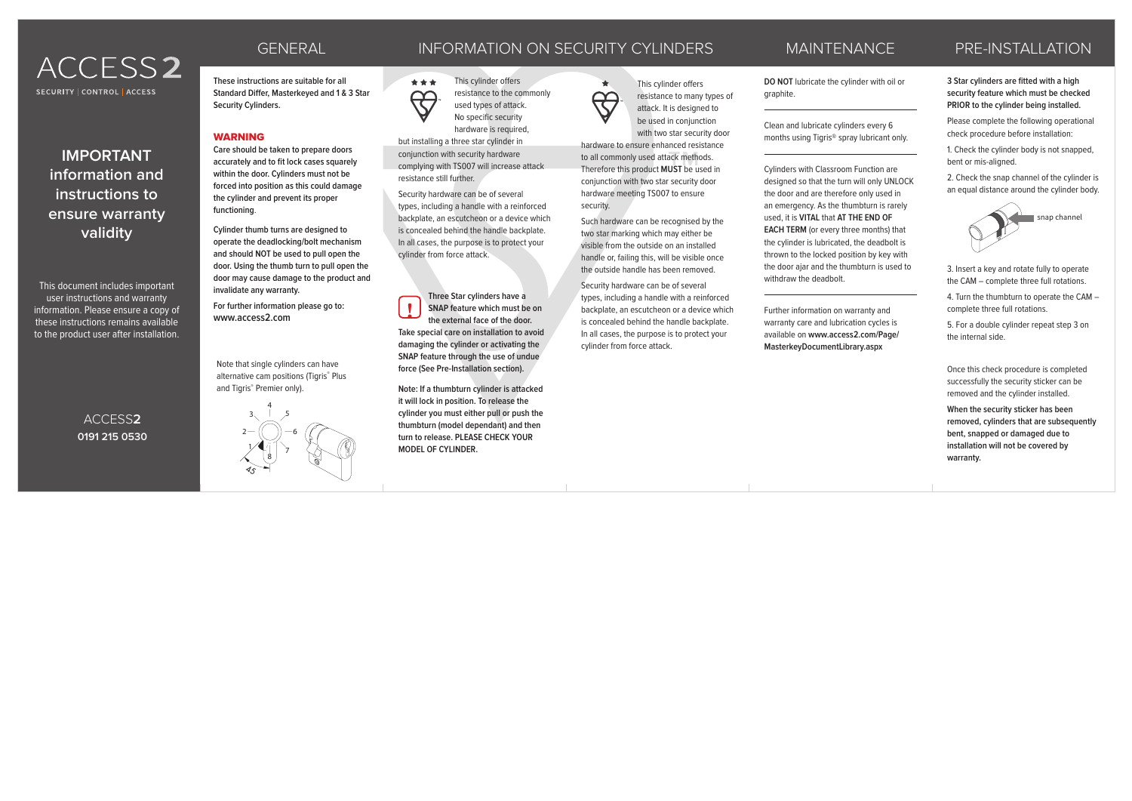# ACCESS2 SECURITY CONTROL LACCESS

**IMPORTANT information and instructions to ensure warranty validity**

This document includes important user instructions and warranty information. Please ensure a copy of these instructions remains available to the product user after installation.

> ACCESS**2 0191 215 0530**

**These instructions are suitable for all Standard Differ, Masterkeyed and 1 & 3 Star Security Cylinders.**

#### **WARNING**

**Care should be taken to prepare doors accurately and to fit lock cases squarely within the door. Cylinders must not be forced into position as this could damage the cylinder and prevent its proper functioning**.

**Cylinder thumb turns are designed to operate the deadlocking/bolt mechanism and should NOT be used to pull open the door. Using the thumb turn to pull open the door may cause damage to the product and invalidate any warranty.**

**For further information please go to: www.access2.com !**

Note that single cylinders can have alternative cam positions (Tigris® Plus and Tigris® Premier only).



## GENERAL INFORMATION ON SECURITY CYLINDERS MAINTENANCE PRE-INSTALLATION

This cylinder offers resistance to the commonly used types of attack. No specific security

hardware is required. but installing a three star cylinder in conjunction with security hardware complying with TS007 will increase attack resistance still further.

\*\*\*

 $\bigoplus$ 

Security hardware can be of several types, including a handle with a reinforced backplate, an escutcheon or a device which is concealed behind the handle backplate. In all cases, the purpose is to protect your cylinder from force attack.

**Three Star cylinders have a SNAP feature which must be on the external face of the door. Take special care on installation to avoid damaging the cylinder or activating the SNAP feature through the use of undue force (See Pre-Installation section).** 

**Note: If a thumbturn cylinder is attacked it will lock in position. To release the cylinder you must either pull or push the thumbturn (model dependant) and then turn to release. PLEASE CHECK YOUR MODEL OF CYLINDER.**



resistance to many types of attack. It is designed to be used in conjunction with two star security door hardware to ensure enhanced resistance

to all commonly used attack methods. Therefore this product **MUST** be used in **2** Conjunction with two star security door hardware meeting TS007 to ensure security.

> Such hardware can be recognised by the two star marking which may either be visible from the outside on an installed handle or, failing this, will be visible once the outside handle has been removed.

Security hardware can be of several types, including a handle with a reinforced backplate, an escutcheon or a device which is concealed behind the handle backplate. In all cases, the purpose is to protect your cylinder from force attack.

### MAINTENANCE

**DO NOT** lubricate the cylinder with oil or graphite.

Clean and lubricate cylinders every 6 months using Tigris® spray lubricant only.

Cylinders with Classroom Function are designed so that the turn will only UNLOCK the door and are therefore only used in an emergency. As the thumbturn is rarely used, it is **VITAL** that **AT THE END OF EACH TERM** (or every three months) that the cylinder is lubricated, the deadbolt is thrown to the locked position by key with the door ajar and the thumbturn is used to withdraw the deadbolt.

> Further information on warranty and warranty care and lubrication cycles is available on **www.access2.com/Page/ MasterkeyDocumentLibrary.aspx**

#### **3 Star cylinders are fitted with a high security feature which must be checked PRIOR to the cylinder being installed.**

Please complete the following operational check procedure before installation:

1. Check the cylinder body is not snapped, bent or mis-aligned.

2. Check the snap channel of the cylinder is an equal distance around the cylinder body.



3. Insert a key and rotate fully to operate the CAM – complete three full rotations.

4. Turn the thumbturn to operate the CAM – complete three full rotations.

5. For a double cylinder repeat step 3 on the internal side.

Once this check procedure is completed successfully the security sticker can be removed and the cylinder installed.

**When the security sticker has been removed, cylinders that are subsequently bent, snapped or damaged due to installation will not be covered by warranty.**